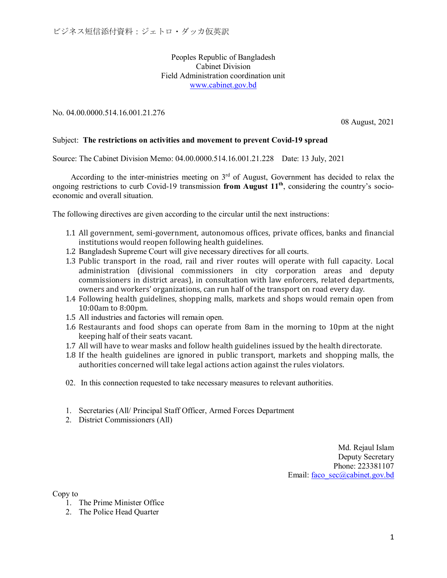## Peoples Republic of Bangladesh Cabinet Division Field Administration coordination unit [www.cabinet.gov.bd](http://www.cabinet.gov.bd/)

No. 04.00.0000.514.16.001.21.276

08 August, 2021

## Subject: **The restrictions on activities and movement to prevent Covid-19 spread**

Source: The Cabinet Division Memo: 04.00.0000.514.16.001.21.228 Date: 13 July, 2021

According to the inter-ministries meeting on  $3<sup>rd</sup>$  of August, Government has decided to relax the ongoing restrictions to curb Covid-19 transmission **from August 11th**, considering the country's socioeconomic and overall situation.

The following directives are given according to the circular until the next instructions:

- 1.1 All government, semi-government, autonomous offices, private offices, banks and financial institutions would reopen following health guidelines.
- 1.2 Bangladesh Supreme Court will give necessary directives for all courts.
- 1.3 Public transport in the road, rail and river routes will operate with full capacity. Local administration (divisional commissioners in city corporation areas and deputy commissioners in district areas), in consultation with law enforcers, related departments, owners and workers' organizations, can run half of the transport on road every day.
- 1.4 Following health guidelines, shopping malls, markets and shops would remain open from 10:00am to 8:00pm.
- 1.5 All industries and factories will remain open.
- 1.6 Restaurants and food shops can operate from 8am in the morning to 10pm at the night keeping half of their seats vacant.
- 1.7 All will have to wear masks and follow health guidelines issued by the health directorate.
- 1.8 If the health guidelines are ignored in public transport, markets and shopping malls, the authorities concerned will take legal actions action against the rules violators.
- 02. In this connection requested to take necessary measures to relevant authorities.
- 1. Secretaries (All/ Principal Staff Officer, Armed Forces Department
- 2. District Commissioners (All)

Md. Rejaul Islam Deputy Secretary Phone: 223381107 Email: [faco\\_sec@cabinet.gov.bd](mailto:faco_sec@cabinet.gov.bd)

Copy to

- 1. The Prime Minister Office
- 2. The Police Head Quarter